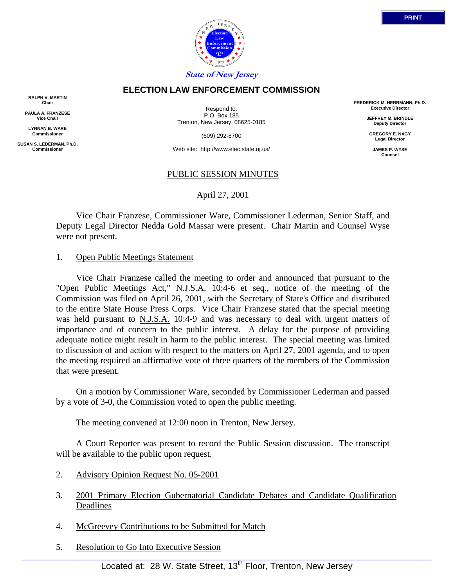

# **ELECTION LAW ENFORCEMENT COMMISSION**

**RALPH V. MARTIN Chair**

**PAULA A. FRANZESE Vice Chair**

**LYNNAN B. WARE Commissioner**

**SUSAN S. LEDERMAN, Ph.D. Commissioner**

Respond to: P.O. Box 185 Trenton, New Jersey 08625-0185

(609) 292-8700

Web site: http://www.elec.state.nj.us/

#### PUBLIC SESSION MINUTES

### April 27, 2001

 Vice Chair Franzese, Commissioner Ware, Commissioner Lederman, Senior Staff, and Deputy Legal Director Nedda Gold Massar were present. Chair Martin and Counsel Wyse were not present.

#### 1. Open Public Meetings Statement

 Vice Chair Franzese called the meeting to order and announced that pursuant to the "Open Public Meetings Act," N.J.S.A. 10:4-6 et seq., notice of the meeting of the Commission was filed on April 26, 2001, with the Secretary of State's Office and distributed to the entire State House Press Corps. Vice Chair Franzese stated that the special meeting was held pursuant to N.J.S.A. 10:4-9 and was necessary to deal with urgent matters of importance and of concern to the public interest. A delay for the purpose of providing adequate notice might result in harm to the public interest. The special meeting was limited to discussion of and action with respect to the matters on April 27, 2001 agenda, and to open the meeting required an affirmative vote of three quarters of the members of the Commission that were present.

 On a motion by Commissioner Ware, seconded by Commissioner Lederman and passed by a vote of 3-0, the Commission voted to open the public meeting.

The meeting convened at 12:00 noon in Trenton, New Jersey.

 A Court Reporter was present to record the Public Session discussion. The transcript will be available to the public upon request.

- 2. Advisory Opinion Request No. 05-2001
- 3. 2001 Primary Election Gubernatorial Candidate Debates and Candidate Qualification Deadlines
- 4. McGreevey Contributions to be Submitted for Match
- 5. Resolution to Go Into Executive Session

**FREDERICK M. HERRMANN, Ph.D. Executive Director**

> **JEFFREY M. BRINDLE Deputy Director**

**GREGORY E. NAGY Legal Director**

**JAMES P. WYSE Counsel**